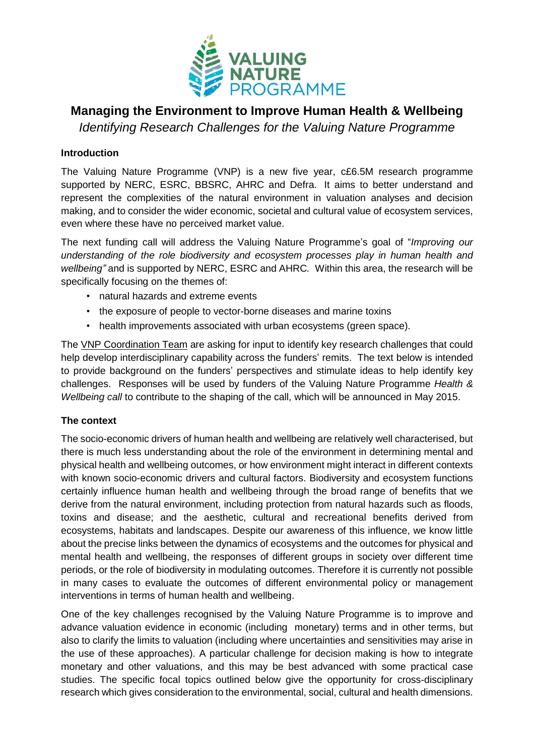

# **Managing the Environment to Improve Human Health & Wellbeing**

*Identifying Research Challenges for the Valuing Nature Programme*

## **Introduction**

The Valuing Nature Programme (VNP) is a new five year, c£6.5M research programme supported by NERC, ESRC, BBSRC, AHRC and Defra. It aims to better understand and represent the complexities of the natural environment in valuation analyses and decision making, and to consider the wider economic, societal and cultural value of ecosystem services, even where these have no perceived market value.

The next funding call will address the Valuing Nature Programme's goal of "*Improving our understanding of the role biodiversity and ecosystem processes play in human health and wellbeing"* and is supported by NERC, ESRC and AHRC*.* Within this area, the research will be specifically focusing on the themes of:

- natural hazards and extreme events
- the exposure of people to vector-borne diseases and marine toxins
- health improvements associated with urban ecosystems (green space).

The VNP [Coordination](http://www.valuing-nature.net/news/2014/coordinators-valuing-nature-programme-appointed-0) Team are asking for input to identify key research challenges that could help develop interdisciplinary capability across the funders' remits. The text below is intended to provide background on the funders' perspectives and stimulate ideas to help identify key challenges. Responses will be used by funders of the Valuing Nature Programme *Health & Wellbeing call* to contribute to the shaping of the call, which will be announced in May 2015.

#### **The context**

The socio-economic drivers of human health and wellbeing are relatively well characterised, but there is much less understanding about the role of the environment in determining mental and physical health and wellbeing outcomes, or how environment might interact in different contexts with known socio-economic drivers and cultural factors. Biodiversity and ecosystem functions certainly influence human health and wellbeing through the broad range of benefits that we derive from the natural environment, including protection from natural hazards such as floods, toxins and disease; and the aesthetic, cultural and recreational benefits derived from ecosystems, habitats and landscapes. Despite our awareness of this influence, we know little about the precise links between the dynamics of ecosystems and the outcomes for physical and mental health and wellbeing, the responses of different groups in society over different time periods, or the role of biodiversity in modulating outcomes. Therefore it is currently not possible in many cases to evaluate the outcomes of different environmental policy or management interventions in terms of human health and wellbeing.

One of the key challenges recognised by the Valuing Nature Programme is to improve and advance valuation evidence in economic (including monetary) terms and in other terms, but also to clarify the limits to valuation (including where uncertainties and sensitivities may arise in the use of these approaches). A particular challenge for decision making is how to integrate monetary and other valuations, and this may be best advanced with some practical case studies. The specific focal topics outlined below give the opportunity for cross-disciplinary research which gives consideration to the environmental, social, cultural and health dimensions.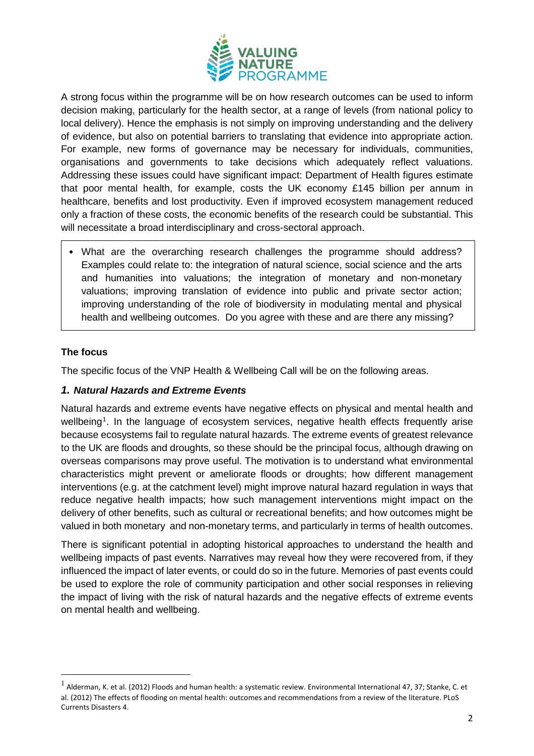

A strong focus within the programme will be on how research outcomes can be used to inform decision making, particularly for the health sector, at a range of levels (from national policy to local delivery). Hence the emphasis is not simply on improving understanding and the delivery of evidence, but also on potential barriers to translating that evidence into appropriate action. For example, new forms of governance may be necessary for individuals, communities, organisations and governments to take decisions which adequately reflect valuations. Addressing these issues could have significant impact: Department of Health figures estimate that poor mental health, for example, costs the UK economy £145 billion per annum in healthcare, benefits and lost productivity. Even if improved ecosystem management reduced only a fraction of these costs, the economic benefits of the research could be substantial. This will necessitate a broad interdisciplinary and cross-sectoral approach.

• What are the overarching research challenges the programme should address? Examples could relate to: the integration of natural science, social science and the arts and humanities into valuations; the integration of monetary and non-monetary valuations; improving translation of evidence into public and private sector action; improving understanding of the role of biodiversity in modulating mental and physical health and wellbeing outcomes. Do you agree with these and are there any missing?

### **The focus**

 $\overline{a}$ 

The specific focus of the VNP Health & Wellbeing Call will be on the following areas.

#### *1. Natural Hazards and Extreme Events*

Natural hazards and extreme events have negative effects on physical and mental health and wellbeing<sup>1</sup>. In the language of ecosystem services, negative health effects frequently arise because ecosystems fail to regulate natural hazards. The extreme events of greatest relevance to the UK are floods and droughts, so these should be the principal focus, although drawing on overseas comparisons may prove useful. The motivation is to understand what environmental characteristics might prevent or ameliorate floods or droughts; how different management interventions (e.g. at the catchment level) might improve natural hazard regulation in ways that reduce negative health impacts; how such management interventions might impact on the delivery of other benefits, such as cultural or recreational benefits; and how outcomes might be valued in both monetary and non-monetary terms, and particularly in terms of health outcomes.

There is significant potential in adopting historical approaches to understand the health and wellbeing impacts of past events. Narratives may reveal how they were recovered from, if they influenced the impact of later events, or could do so in the future. Memories of past events could be used to explore the role of community participation and other social responses in relieving the impact of living with the risk of natural hazards and the negative effects of extreme events on mental health and wellbeing.

<sup>1</sup> Alderman, K. et al. (2012) Floods and human health: a systematic review. Environmental International 47, 37; Stanke, C. et al. (2012) The effects of flooding on mental health: outcomes and recommendations from a review of the literature. PLoS Currents Disasters 4.